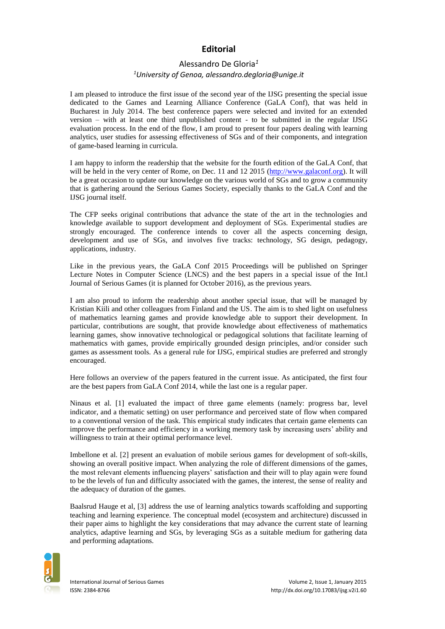## **Editorial**

## Alessandro De Gloria*<sup>1</sup> <sup>1</sup>University of Genoa, alessandro.degloria@unige.it*

I am pleased to introduce the first issue of the second year of the IJSG presenting the special issue dedicated to the Games and Learning Alliance Conference (GaLA Conf), that was held in Bucharest in July 2014. The best conference papers were selected and invited for an extended version – with at least one third unpublished content - to be submitted in the regular IJSG evaluation process. In the end of the flow, I am proud to present four papers dealing with learning analytics, user studies for assessing effectiveness of SGs and of their components, and integration of game-based learning in curricula.

I am happy to inform the readership that the website for the fourth edition of the GaLA Conf, that will be held in the very center of Rome, on Dec. 11 and 12 2015 [\(http://www.galaconf.org\)](http://www.galaconf.org/). It will be a great occasion to update our knowledge on the various world of SGs and to grow a community that is gathering around the Serious Games Society, especially thanks to the GaLA Conf and the IJSG journal itself.

The CFP seeks original contributions that advance the state of the art in the technologies and knowledge available to support development and deployment of SGs. Experimental studies are strongly encouraged. The conference intends to cover all the aspects concerning design, development and use of SGs, and involves five tracks: technology, SG design, pedagogy, applications, industry.

Like in the previous years, the GaLA Conf 2015 Proceedings will be published on Springer Lecture Notes in Computer Science (LNCS) and the best papers in a special issue of the [Int.l](http://journal.seriousgamessociety.org/)  [Journal of Serious Games](http://journal.seriousgamessociety.org/) (it is planned for October 2016), as the previous years.

I am also proud to inform the readership about another special issue, that will be managed by Kristian Kiili and other colleagues from Finland and the US. The aim is to shed light on usefulness of mathematics learning games and provide knowledge able to support their development. In particular, contributions are sought, that provide knowledge about effectiveness of mathematics learning games, show innovative technological or pedagogical solutions that facilitate learning of mathematics with games, provide empirically grounded design principles, and/or consider such games as assessment tools. As a general rule for IJSG, empirical studies are preferred and strongly encouraged.

Here follows an overview of the papers featured in the current issue. As anticipated, the first four are the best papers from GaLA Conf 2014, while the last one is a regular paper.

Ninaus et al. [1] evaluated the impact of three game elements (namely: progress bar, level indicator, and a thematic setting) on user performance and perceived state of flow when compared to a conventional version of the task. This empirical study indicates that certain game elements can improve the performance and efficiency in a working memory task by increasing users' ability and willingness to train at their optimal performance level.

Imbellone et al. [2] present an evaluation of mobile serious games for development of soft-skills, showing an overall positive impact. When analyzing the role of different dimensions of the games, the most relevant elements influencing players' satisfaction and their will to play again were found to be the levels of fun and difficulty associated with the games, the interest, the sense of reality and the adequacy of duration of the games.

Baalsrud Hauge et al, [3] address the use of learning analytics towards scaffolding and supporting teaching and learning experience. The conceptual model (ecosystem and architecture) discussed in their paper aims to highlight the key considerations that may advance the current state of learning analytics, adaptive learning and SGs, by leveraging SGs as a suitable medium for gathering data and performing adaptations.